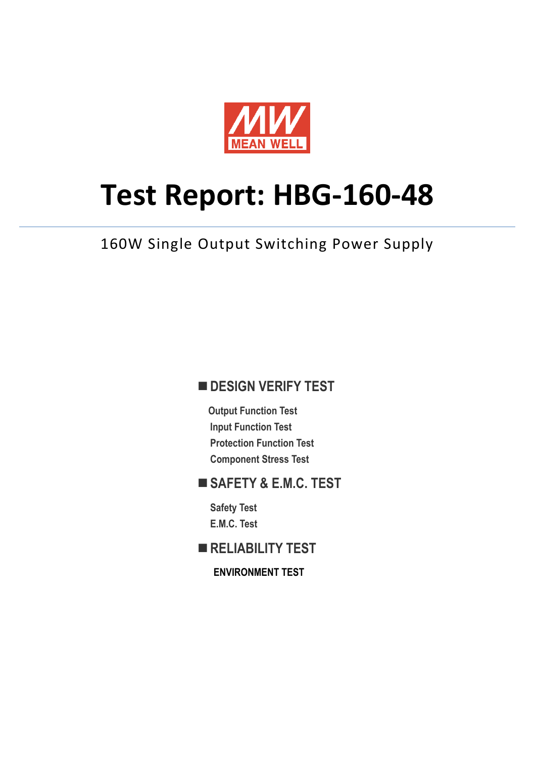

# **Test Report: HBG-160-48**

160W Single Output Switching Power Supply

### **DESIGN VERIFY TEST**

**Output Function Test Input Function Test Protection Function Test Component Stress Test**

#### **SAFETY & E.M.C. TEST**

**Safety Test E.M.C. Test**

**RELIABILITY TEST**

**ENVIRONMENT TEST**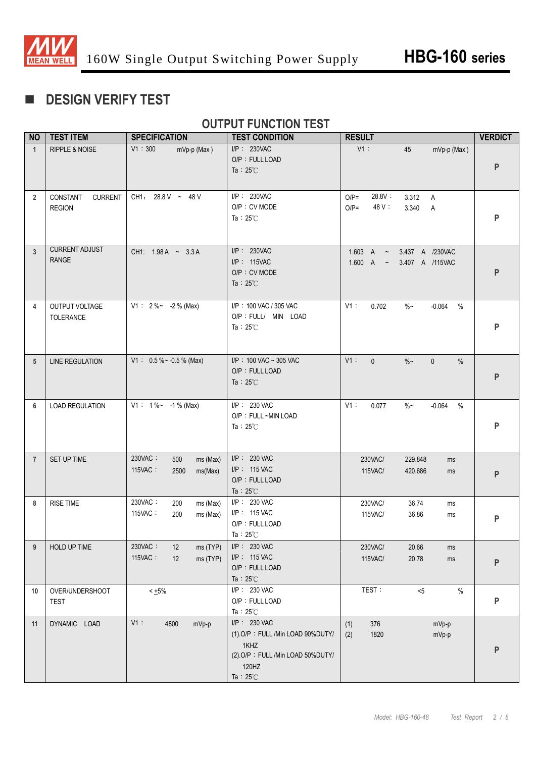

# **DESIGN VERIFY TEST**

#### **OUTPUT FUNCTION TEST**

| <b>NO</b>      | <b>TEST ITEM</b>                            | <b>SPECIFICATION</b>                                     | <b>TEST CONDITION</b>                                                                                                       | <b>RESULT</b>                                                     | <b>VERDICT</b> |
|----------------|---------------------------------------------|----------------------------------------------------------|-----------------------------------------------------------------------------------------------------------------------------|-------------------------------------------------------------------|----------------|
| $\mathbf{1}$   | RIPPLE & NOISE                              | V1:300<br>mVp-p (Max)                                    | I/P: 230VAC<br>O/P: FULL LOAD<br>Ta: $25^{\circ}$ C                                                                         | V1:<br>45<br>mVp-p (Max)                                          | P              |
| $\overline{2}$ | CONSTANT<br><b>CURRENT</b><br><b>REGION</b> | CH1: 28.8 V ~ 48 V                                       | I/P: 230VAC<br>O/P: CV MODE<br>Ta: $25^{\circ}$ C                                                                           | 28.8V :<br>$O/P=$<br>3.312<br>A<br>48 V:<br>$O/P=$<br>3.340<br>Α  | P              |
| 3              | <b>CURRENT ADJUST</b><br><b>RANGE</b>       | CH1: 1.98 A ~ 3.3 A                                      | $I/P$ : 230VAC<br>I/P: 115VAC<br>O/P: CV MODE<br>Ta: $25^{\circ}$ C                                                         | 1.603 A $\sim$<br>3.437 A /230VAC<br>1.600 A ~<br>3.407 A /115VAC | P              |
| 4              | OUTPUT VOLTAGE<br>TOLERANCE                 | $V1: 2\%~ -2\%$ (Max)                                    | I/P: 100 VAC / 305 VAC<br>O/P : FULL/ MIN LOAD<br>Ta: $25^{\circ}$ C                                                        | $V1$ :<br>$\%$ ~<br>0.702<br>$-0.064$<br>$\%$                     | P              |
| 5              | <b>LINE REGULATION</b>                      | $V1: 0.5\%~ 0.5\%$ (Max)                                 | $I/P$ : 100 VAC ~ 305 VAC<br>O/P: FULL LOAD<br>Ta: $25^{\circ}$ C                                                           | $V1$ :<br>$\mathbf{0}$<br>$\%$ ~<br>$\mathbf{0}$<br>$\%$          | ${\sf P}$      |
| 6              | <b>LOAD REGULATION</b>                      | $V1: 1\%~ - 1\%$ (Max)                                   | I/P: 230 VAC<br>O/P: FULL ~MIN LOAD<br>Ta: $25^{\circ}$ C                                                                   | V1:<br>$\%$ $\sim$<br>$-0.064$<br>$\%$<br>0.077                   | P              |
| $\overline{7}$ | SET UP TIME                                 | 230VAC:<br>500<br>ms (Max)<br>115VAC:<br>2500<br>ms(Max) | I/P: 230 VAC<br>I/P: 115 VAC<br>O/P: FULL LOAD<br>Ta: $25^{\circ}$ C                                                        | 230VAC/<br>229.848<br>ms<br>115VAC/<br>420.686<br>ms              | P              |
| 8              | <b>RISE TIME</b>                            | 230VAC:<br>200<br>ms (Max)<br>115VAC:<br>200<br>ms (Max) | I/P: 230 VAC<br>I/P: 115 VAC<br>O/P: FULL LOAD<br>Ta: $25^{\circ}$ C                                                        | 230VAC/<br>36.74<br>ms<br>115VAC/<br>36.86<br>ms                  | P              |
| 9              | HOLD UP TIME                                | 230VAC:<br>12<br>ms (TYP)<br>115VAC:<br>ms (TYP)<br>12   | I/P: 230 VAC<br>I/P: 115 VAC<br>O/P: FULL LOAD<br>Ta: $25^{\circ}$ C                                                        | 230VAC/<br>20.66<br>ms<br>115VAC/<br>20.78<br>ms                  | P              |
| 10             | OVER/UNDERSHOOT<br><b>TEST</b>              | $< +5\%$                                                 | I/P: 230 VAC<br>O/P: FULL LOAD<br>Ta: $25^{\circ}$ C                                                                        | TEST:<br>$< 5$<br>$\%$                                            | P              |
| 11             | DYNAMIC LOAD                                | $V1$ :<br>4800<br>mVp-p                                  | I/P: 230 VAC<br>(1).O/P: FULL /Min LOAD 90%DUTY/<br>1KHZ<br>(2).O/P: FULL /Min LOAD 50%DUTY/<br>120HZ<br>Ta: $25^{\circ}$ C | 376<br>mVp-p<br>(1)<br>1820<br>mVp-p<br>(2)                       | P              |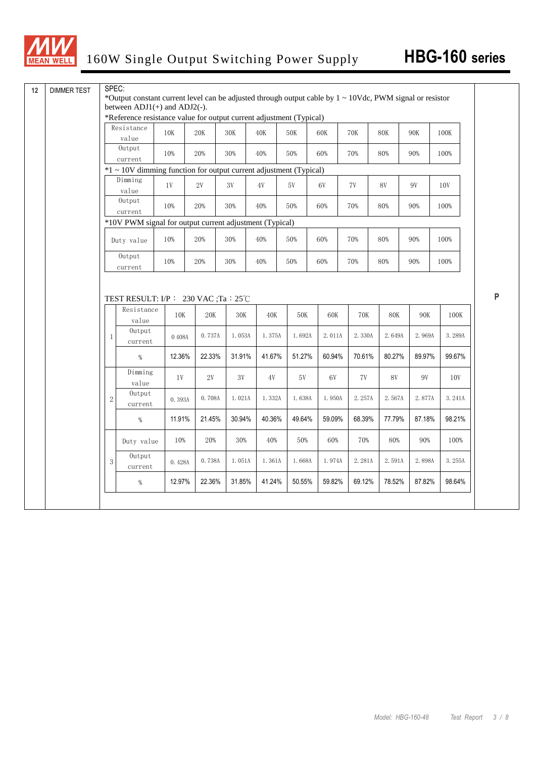

|              | between $ADJ1(+)$ and $ADJ2(-)$ .                                      |                  |                          |                 |                |               |               |                 |                |               |                                    |
|--------------|------------------------------------------------------------------------|------------------|--------------------------|-----------------|----------------|---------------|---------------|-----------------|----------------|---------------|------------------------------------|
|              | *Reference resistance value for output current adjustment (Typical)    |                  |                          |                 |                |               |               |                 |                |               |                                    |
|              | Resistance<br>value                                                    | 10K              | $20\mathrm{K}$           | $30\mathrm{K}$  | $40\mathrm{K}$ | $50K$         | 60K           | <b>70K</b>      | $80\mathrm{K}$ | <b>90K</b>    | 100K                               |
|              | Output<br>current                                                      | 10%              | 20%                      | 30%             | 40%            | 50%           | 60%           | 70%             | 80%            | 90%           | 100%                               |
|              | $*1 \sim 10V$ dimming function for output current adjustment (Typical) |                  |                          |                 |                |               |               |                 |                |               |                                    |
|              | Dimming                                                                |                  |                          |                 |                |               |               |                 |                |               |                                    |
|              | value                                                                  | 1V               | 2V                       | 3V              | 4V             | 5V            | 6V            | 7V              | 8V             | 9V            | 10V                                |
|              | Output<br>current                                                      | 10%              | 20%                      | 30%             | 40%            | 50%           | 60%           | 70%             | 80%            | 90%           | 100%                               |
|              | *10V PWM signal for output current adjustment (Typical)                |                  |                          |                 |                |               |               |                 |                |               |                                    |
|              | Duty value                                                             | 10%              | 20%                      | 30%             | $40%$          | 50%           | 60%           | 70%             | 80%            | 90%           | 100%                               |
|              | Output<br>current                                                      | 10%              | 20%                      | 30%             | 40%            | 50%           | 60%           | 70%             | 80%            | 90%           | 100%                               |
|              | TEST RESULT: $I/P$ : 230 VAC ;Ta : 25°C<br>Resistance                  |                  |                          |                 |                |               |               |                 |                |               |                                    |
| $\mathbf{1}$ | value<br>Output                                                        | 10K              | $20\mathrm{K}$<br>0.737A | $30K$<br>1.053A | 40K<br>1.375A  | 50K<br>1.692A | 60K<br>2.011A | $70K$<br>2.330A | 80K<br>2.649A  | 90K<br>2.969A |                                    |
|              | current<br>$\%$                                                        | 0.408A<br>12.36% | 22.33%                   | 31.91%          | 41.67%         | 51.27%        | 60.94%        | 70.61%          | 80.27%         | 89.97%        |                                    |
|              | Dimming<br>value                                                       | 1V               | 2V                       | 3V              | 4V             | 5V            | 6V            | 7V              | <b>8V</b>      | 9V            | 100K<br>3.289A<br>99.67%<br>10V    |
| $2^{1}$      | Output<br>current                                                      | 0.393A           | 0.708A                   | 1.021A          | 1.332A         | 1.638A        | 1.950A        | 2.257A          | 2.567A         | 2.877A        |                                    |
|              | $\%$                                                                   | 11.91%           | 21.45%                   | 30.94%          | 40.36%         | 49.64%        | 59.09%        | 68.39%          | 77.79%         | 87.18%        |                                    |
|              | Duty value                                                             | 10%              | 20%                      | 30%             | 40%            | 50%           | 60%           | 70%             | 80%            | 90%           |                                    |
| 3            | Output<br>current                                                      | 0.428A           | 0.738A                   | 1.051A          | 1.361A         | 1.668A        | 1.974A        | 2.281A          | 2.591A         | 2.898A        | 3.241A<br>98.21%<br>100%<br>3.255A |

**P**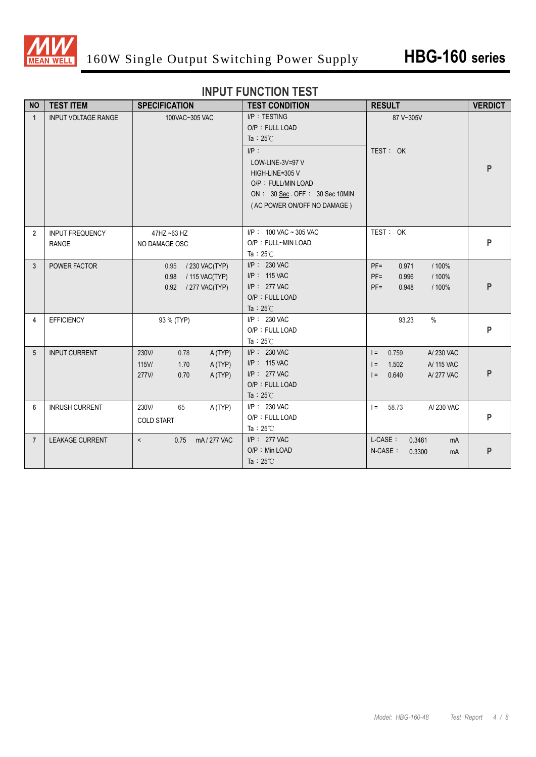

#### **INPUT FUNCTION TEST**

| <b>NO</b>      | <b>TEST ITEM</b>                       | <b>SPECIFICATION</b>                                                           | <b>TEST CONDITION</b>                                                                                                                                                                         | <b>RESULT</b>                                                                             | <b>VERDICT</b> |
|----------------|----------------------------------------|--------------------------------------------------------------------------------|-----------------------------------------------------------------------------------------------------------------------------------------------------------------------------------------------|-------------------------------------------------------------------------------------------|----------------|
| $\mathbf{1}$   | <b>INPUT VOLTAGE RANGE</b>             | 100VAC~305 VAC                                                                 | I/P: TESTING<br>O/P: FULL LOAD<br>Ta : $25^{\circ}$ C<br>$I/P$ :<br>LOW-LINE-3V=97 V<br>HIGH-LINE=305 V<br>O/P: FULL/MIN LOAD<br>ON: 30 Sec. OFF: 30 Sec 10MIN<br>(AC POWER ON/OFF NO DAMAGE) | 87 V~305V<br>TEST: OK                                                                     | P              |
| $\overline{2}$ | <b>INPUT FREQUENCY</b><br><b>RANGE</b> | 47HZ ~63 HZ<br>NO DAMAGE OSC                                                   | $I/P$ : 100 VAC ~ 305 VAC<br>O/P: FULL~MIN LOAD<br>Ta: $25^{\circ}$ C                                                                                                                         | TEST: OK                                                                                  | P              |
| 3              | POWER FACTOR                           | 0.95 / 230 VAC(TYP)<br>0.98<br>/ 115 VAC(TYP)<br>0.92<br>/ 277 VAC(TYP)        | $I/P$ : 230 VAC<br>I/P: 115 VAC<br>I/P: 277 VAC<br>O/P: FULL LOAD<br>Ta: $25^{\circ}$ C                                                                                                       | $PF =$<br>0.971<br>/ 100%<br>$PF =$<br>0.996<br>/ 100%<br>$PF =$<br>0.948<br>/ 100%       | P              |
| 4              | <b>EFFICIENCY</b>                      | 93 % (TYP)                                                                     | I/P: 230 VAC<br>O/P: FULL LOAD<br>Ta: $25^{\circ}$ C                                                                                                                                          | 93.23<br>$\%$                                                                             | P              |
| 5              | <b>INPUT CURRENT</b>                   | 230V/<br>0.78<br>A(TYP)<br>115V/<br>1.70<br>A(TYP)<br>277V/<br>A (TYP)<br>0.70 | I/P: 230 VAC<br>I/P: 115 VAC<br>I/P: 277 VAC<br>O/P: FULL LOAD<br>Ta: $25^{\circ}$ C                                                                                                          | $I = 0.759$<br>A/230 VAC<br>1.502<br>A/ 115 VAC<br>$\vert$ =<br>0.640<br>A/277 VAC<br>$=$ | P              |
| 6              | <b>INRUSH CURRENT</b>                  | 230V/<br>65<br>A (TYP)<br><b>COLD START</b>                                    | I/P: 230 VAC<br>O/P: FULL LOAD<br>Ta: $25^{\circ}$ C                                                                                                                                          | $I = 58.73$<br>A/230 VAC                                                                  | P              |
| $\overline{7}$ | LEAKAGE CURRENT                        | mA/277 VAC<br>$\overline{\phantom{0}}$<br>0.75                                 | $I/P$ : 277 VAC<br>O/P: Min LOAD<br>Ta: $25^{\circ}$ C                                                                                                                                        | L-CASE:<br>0.3481<br>mA<br>N-CASE:<br>0.3300<br>mA                                        | P              |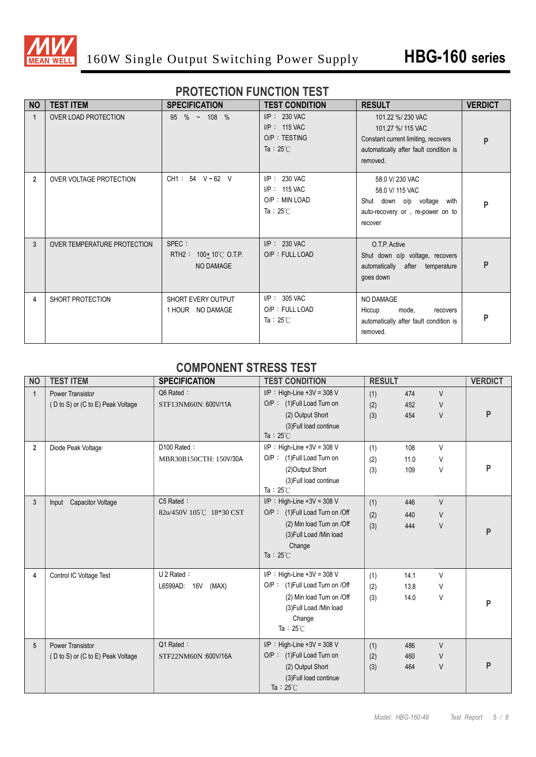

#### **PROTECTION FUNCTION TEST**

| <b>NO</b>      | <b>TEST ITEM</b>            | <b>SPECIFICATION</b>                                          | <b>TEST CONDITION</b>                                                     | <b>RESULT</b>                                                                                                                      | <b>VERDICT</b> |
|----------------|-----------------------------|---------------------------------------------------------------|---------------------------------------------------------------------------|------------------------------------------------------------------------------------------------------------------------------------|----------------|
| $\mathbf{1}$   | OVER LOAD PROTECTION        | $95 \%$ ~ 108 %                                               | $I/P$ : 230 VAC<br>$I/P$ : 115 VAC<br>O/P: TESTING<br>Ta : $25^{\circ}$ C | 101.22 %/230 VAC<br>101.27 %/ 115 VAC<br>Constant current limiting, recovers<br>automatically after fault condition is<br>removed. | P              |
| $\overline{2}$ | OVER VOLTAGE PROTECTION     | $CH1: 54 \text{ V} \sim 62 \text{ V}$                         | I/P: 230 VAC<br>I/P: 115 VAC<br>O/P: MIN LOAD<br>Ta: $25^{\circ}$ C       | 58.0 V/ 230 VAC<br>58.0 V/ 115 VAC<br>Shut down o/p voltage with<br>auto-recovery or, re-power on to<br>recover                    | P              |
| 3              | OVER TEMPERATURE PROTECTION | SPEC :<br>RTH2: $100+10^{\circ}$ C O.T.P.<br><b>NO DAMAGE</b> | $I/P$ : 230 VAC<br>O/P: FULL LOAD                                         | O.T.P. Active<br>Shut down o/p voltage, recovers<br>automatically after temperature<br>goes down                                   | P              |
| 4              | SHORT PROTECTION            | SHORT EVERY OUTPUT<br>1 HOUR NO DAMAGE                        | $I/P$ : 305 VAC<br>O/P: FULL LOAD<br>Ta: $25^{\circ}$ C                   | NO DAMAGE<br>Hiccup<br>mode,<br>recovers<br>automatically after fault condition is<br>removed.                                     | P              |

#### **COMPONENT STRESS TEST**

| <b>NO</b>      | <b>TEST ITEM</b>                  | <b>SPECIFICATION</b>    | <b>TEST CONDITION</b>          | <b>RESULT</b> |      |        | <b>VERDICT</b> |
|----------------|-----------------------------------|-------------------------|--------------------------------|---------------|------|--------|----------------|
| 1              | <b>Power Transistor</b>           | Q6 Rated:               | $I/P$ : High-Line +3V = 308 V  | (1)           | 474  | $\vee$ |                |
|                | (D to S) or (C to E) Peak Voltage | STF13NM60N: 600V/11A    | O/P: (1)Full Load Turn on      | (2)           | 452  | $\vee$ |                |
|                |                                   |                         | (2) Output Short               | (3)           | 454  | $\vee$ | P              |
|                |                                   |                         | (3) Full load continue         |               |      |        |                |
|                |                                   |                         | Ta: $25^{\circ}$ C             |               |      |        |                |
| $\overline{2}$ | Diode Peak Voltage                | D100 Rated:             | $I/P$ : High-Line +3V = 308 V  | (1)           | 108  | $\vee$ |                |
|                |                                   | MBR30B150CTH: 150V/30A  | O/P: (1)Full Load Turn on      | (2)           | 11.0 | V      |                |
|                |                                   |                         | (2) Output Short               | (3)           | 109  | V      | P              |
|                |                                   |                         | (3) Full load continue         |               |      |        |                |
|                |                                   |                         | Ta: $25^{\circ}$ C             |               |      |        |                |
| 3              | Input Capacitor Voltage           | C5 Rated:               | $I/P$ : High-Line +3V = 308 V  | (1)           | 446  | $\vee$ |                |
|                |                                   | 82u/450V 105℃ 18*30 CST | O/P: (1)Full Load Turn on /Off | (2)           | 440  | V      |                |
|                |                                   |                         | (2) Min load Turn on /Off      | (3)           | 444  | $\vee$ |                |
|                |                                   |                         | (3) Full Load / Min load       |               |      |        | P              |
|                |                                   |                         | Change                         |               |      |        |                |
|                |                                   |                         | Ta : $25^{\circ}$ C            |               |      |        |                |
| 4              | Control IC Voltage Test           | $U$ 2 Rated :           | $I/P$ : High-Line +3V = 308 V  | (1)           | 14.1 | V      |                |
|                |                                   | L6599AD: 16V<br>(MAX)   | O/P: (1)Full Load Turn on /Off | (2)           | 13.8 | V      |                |
|                |                                   |                         | (2) Min load Turn on /Off      | (3)           | 14.0 | V      |                |
|                |                                   |                         | (3) Full Load /Min load        |               |      |        | P              |
|                |                                   |                         | Change                         |               |      |        |                |
|                |                                   |                         | Ta: $25^{\circ}$ C             |               |      |        |                |
| 5              | <b>Power Transistor</b>           | Q1 Rated:               | $I/P$ : High-Line +3V = 308 V  | (1)           | 486  | $\vee$ |                |
|                | (D to S) or (C to E) Peak Voltage | STF22NM60N :600V/16A    | O/P: (1) Full Load Turn on     | (2)           | 460  | $\vee$ |                |
|                |                                   |                         | (2) Output Short               | (3)           | 464  | $\vee$ | P              |
|                |                                   |                         | (3) Full load continue         |               |      |        |                |
|                |                                   |                         | Ta: $25^{\circ}$ C             |               |      |        |                |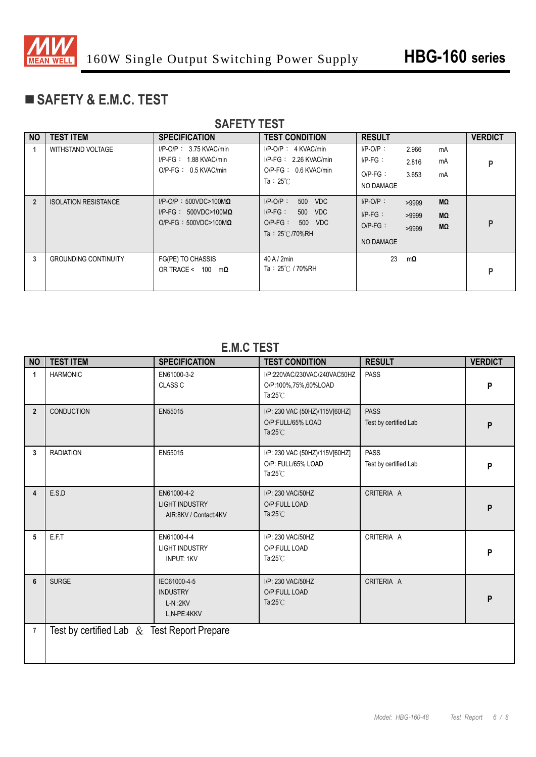

# **SAFETY & E.M.C. TEST**

| <b>SAFETY TEST</b> |                             |                                                                                                 |                                                                                                      |                                                      |                                           |                |  |
|--------------------|-----------------------------|-------------------------------------------------------------------------------------------------|------------------------------------------------------------------------------------------------------|------------------------------------------------------|-------------------------------------------|----------------|--|
| <b>NO</b>          | <b>TEST ITEM</b>            | <b>SPECIFICATION</b>                                                                            | <b>TEST CONDITION</b>                                                                                | <b>RESULT</b>                                        |                                           | <b>VERDICT</b> |  |
|                    | WITHSTAND VOLTAGE           | $I/P$ -O/P: 3.75 KVAC/min<br>$I/P-FG: 1.88$ KVAC/min<br>$O/P$ -FG : 0.5 KVAC/min                | $I/P$ -O/P : 4 KVAC/min<br>$I/P-FG: 2.26$ KVAC/min<br>$O/P-FG: 0.6$ KVAC/min<br>Ta: $25^{\circ}$ C   | $I/P-O/P$ :<br>$I/P-FG$ :<br>$O/P-FG$ :<br>NO DAMAGE | 2.966<br>mA<br>mA<br>2.816<br>3.653<br>mA | P              |  |
| $\overline{2}$     | <b>ISOLATION RESISTANCE</b> | $I/P$ -O/P: 500VDC>100M $\Omega$<br>I/P-FG: $500VDC>100M\Omega$<br>$O/P-FG : 500VDC>100M\Omega$ | $I/P-O/P$ :<br>500 VDC<br>$I/P-FG$ :<br>500 VDC<br>$O/P-FG$ :<br>500 VDC<br>Ta: $25^{\circ}$ C/70%RH | $I/P-O/P$ :<br>$I/P-FG$ :<br>$O/P-FG$ :<br>NO DAMAGE | MΩ<br>>9999<br>MΩ<br>>9999<br>MΩ<br>>9999 | P              |  |
| 3                  | <b>GROUNDING CONTINUITY</b> | FG(PE) TO CHASSIS<br>OR TRACE < $100 \text{ m}\Omega$                                           | 40A/2min<br>Ta: 25℃ / 70%RH                                                                          | 23                                                   | $m\Omega$                                 | P              |  |

#### **E.M.C TEST**

| <b>NO</b>      | <b>TEST ITEM</b>                               | <b>SPECIFICATION</b>                                          | <b>TEST CONDITION</b>                                                      | <b>RESULT</b>                        | <b>VERDICT</b> |
|----------------|------------------------------------------------|---------------------------------------------------------------|----------------------------------------------------------------------------|--------------------------------------|----------------|
| $\mathbf{1}$   | <b>HARMONIC</b>                                | EN61000-3-2<br>CLASS C                                        | I/P:220VAC/230VAC/240VAC50HZ<br>O/P:100%,75%,60%LOAD<br>Ta: $25^{\circ}$ C | <b>PASS</b>                          | P              |
| $\overline{2}$ | <b>CONDUCTION</b>                              | EN55015                                                       | I/P: 230 VAC (50HZ)/115V[60HZ]<br>O/P:FULL/65% LOAD<br>Ta: $25^{\circ}$ C  | <b>PASS</b><br>Test by certified Lab | P              |
| 3 <sup>1</sup> | <b>RADIATION</b>                               | EN55015                                                       | I/P: 230 VAC (50HZ)/115V[60HZ]<br>O/P: FULL/65% LOAD<br>Ta: $25^{\circ}$ C | <b>PASS</b><br>Test by certified Lab | P              |
| $\overline{4}$ | E.S.D                                          | EN61000-4-2<br><b>LIGHT INDUSTRY</b><br>AIR:8KV / Contact:4KV | I/P: 230 VAC/50HZ<br>O/P:FULL LOAD<br>Ta: $25^{\circ}$ C                   | CRITERIA A                           | P              |
| 5              | E.F.T                                          | EN61000-4-4<br><b>LIGHT INDUSTRY</b><br><b>INPUT: 1KV</b>     | I/P: 230 VAC/50HZ<br>O/P:FULL LOAD<br>Ta: $25^{\circ}$ C                   | CRITERIA A                           | P              |
| 6              | <b>SURGE</b>                                   | IEC61000-4-5<br><b>INDUSTRY</b><br>$L-N:2KV$<br>L,N-PE:4KKV   | I/P: 230 VAC/50HZ<br>O/P:FULL LOAD<br>Ta: $25^{\circ}$ C                   | CRITERIA A                           | P              |
| $\overline{7}$ | Test by certified Lab $\&$ Test Report Prepare |                                                               |                                                                            |                                      |                |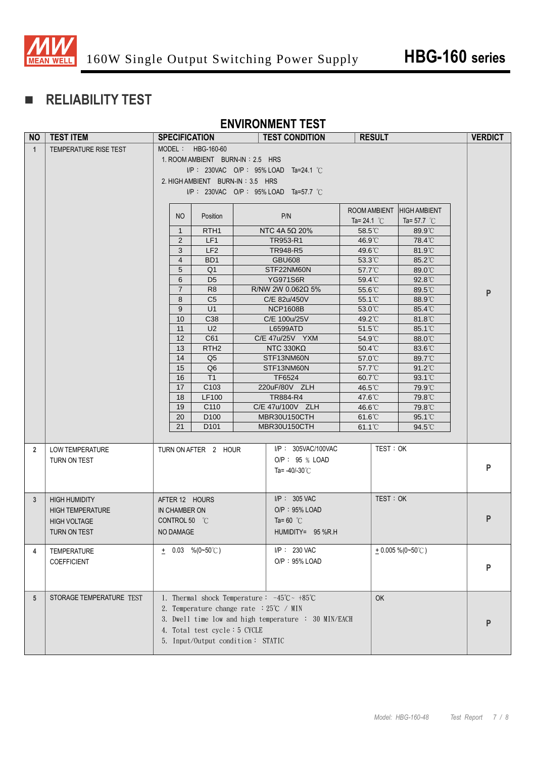

# **RELIABILITY TEST**

#### **ENVIRONMENT TEST**

| <b>NO</b>       | <b>TEST ITEM</b>         | <b>SPECIFICATION</b>             |                                                                              | <b>TEST CONDITION</b>                                | <b>RESULT</b>              |                       | <b>VERDICT</b> |
|-----------------|--------------------------|----------------------------------|------------------------------------------------------------------------------|------------------------------------------------------|----------------------------|-----------------------|----------------|
| $\mathbf{1}$    | TEMPERATURE RISE TEST    | MODEL: HBG-160-60                |                                                                              |                                                      |                            |                       |                |
|                 |                          |                                  | 1. ROOM AMBIENT BURN-IN: 2.5 HRS                                             |                                                      |                            |                       |                |
|                 |                          |                                  |                                                                              | $I/P$ : 230VAC O/P : 95% LOAD Ta=24.1 °C             |                            |                       |                |
|                 |                          | 2. HIGH AMBIENT BURN-IN: 3.5 HRS |                                                                              |                                                      |                            |                       |                |
|                 |                          |                                  |                                                                              | I/P: 230VAC O/P: 95% LOAD Ta=57.7 °C                 |                            |                       |                |
|                 |                          |                                  |                                                                              |                                                      |                            |                       |                |
|                 |                          |                                  |                                                                              |                                                      | ROOM AMBIENT HIGH AMBIENT  |                       |                |
|                 |                          | NO                               | Position                                                                     | P/N                                                  | Ta= 24.1 $^{\circ}$ C      | Ta= 57.7 $^{\circ}$ C |                |
|                 |                          | $\mathbf{1}$                     | RTH <sub>1</sub>                                                             | NTC 4A 5Ω 20%                                        | $58.5^{\circ}$ C           | 89.9°C                |                |
|                 |                          | 2                                | LF1                                                                          | TR953-R1                                             | 46.9°C                     | 78.4°C                |                |
|                 |                          | 3                                | LF <sub>2</sub>                                                              | TR948-R5                                             | 49.6°C                     | $81.9^{\circ}$        |                |
|                 |                          | $\overline{4}$                   | BD <sub>1</sub>                                                              | <b>GBU608</b>                                        | $53.3^{\circ}$ C           | 85.2°C                |                |
|                 |                          | 5<br>6                           | Q <sub>1</sub><br>D <sub>5</sub>                                             | STF22NM60N<br><b>YG971S6R</b>                        | 57.7°C                     | 89.0°C<br>92.8°C      |                |
|                 |                          | $\overline{7}$                   | R <sub>8</sub>                                                               | R/NW 2W 0.062 $\Omega$ 5%                            | 59.4°C<br>$55.6^{\circ}$ C | $89.5^{\circ}$ C      |                |
|                 |                          | 8                                | C <sub>5</sub>                                                               | C/E 82u/450V                                         | $55.1^{\circ}$             | 88.9°C                | P              |
|                 |                          | 9                                | U1                                                                           | <b>NCP1608B</b>                                      | 53.0°C                     | 85.4°C                |                |
|                 |                          | 10                               | C38                                                                          | C/E 100u/25V                                         | 49.2°C                     | 81.8°C                |                |
|                 |                          | 11                               | U <sub>2</sub>                                                               | L6599ATD                                             | $51.5^{\circ}$ C           | $85.1^{\circ}$        |                |
|                 |                          | 12                               | C61                                                                          | C/E 47u/25V YXM                                      | 54.9°C                     | 88.0°C                |                |
|                 |                          | 13                               | RTH <sub>2</sub>                                                             | NTC 330K $\Omega$                                    | 50.4°C                     | 83.6°C                |                |
|                 |                          | 14                               | Q5                                                                           | STF13NM60N                                           | 57.0°C                     | 89.7°C                |                |
|                 |                          | 15                               | Q <sub>6</sub>                                                               | STF13NM60N                                           | $57.7^{\circ}$ C           | 91.2°C                |                |
|                 |                          | 16                               | T1                                                                           | TF6524                                               | 60.7°C                     | $93.1^{\circ}$        |                |
|                 |                          | 17                               | C103                                                                         | 220uF/80V ZLH                                        | 46.5°C                     | 79.9°C                |                |
|                 |                          | 18                               | LF100<br>C110                                                                | TR884-R4<br>C/E 47u/100V ZLH                         | 47.6°C                     | 79.8°C<br>79.8°C      |                |
|                 |                          | 19<br>20                         | D <sub>100</sub>                                                             | MBR30U150CTH                                         | 46.6°C<br>$61.6^{\circ}$ C | $95.1^{\circ}$        |                |
|                 |                          | 21                               | D <sub>101</sub>                                                             | MBR30U150CTH                                         | $61.1^{\circ}$ C           | 94.5°C                |                |
|                 |                          |                                  |                                                                              |                                                      |                            |                       |                |
| $\mathbf{2}$    | LOW TEMPERATURE          | TURN ON AFTER 2 HOUR             |                                                                              | I/P: 305VAC/100VAC                                   | TEST: OK                   |                       |                |
|                 | TURN ON TEST             |                                  |                                                                              | O/P: 95 % LOAD                                       |                            |                       |                |
|                 |                          |                                  |                                                                              | Ta= $-40/-30^{\circ}$ C                              |                            |                       | P              |
|                 |                          |                                  |                                                                              |                                                      |                            |                       |                |
|                 |                          |                                  |                                                                              |                                                      |                            |                       |                |
| 3               | <b>HIGH HUMIDITY</b>     | AFTER 12 HOURS                   |                                                                              | $I/P$ : 305 VAC                                      | TEST: OK                   |                       |                |
|                 | <b>HIGH TEMPERATURE</b>  | IN CHAMBER ON                    |                                                                              | $O/P: 95\%$ LOAD                                     |                            |                       |                |
|                 | <b>HIGH VOLTAGE</b>      | CONTROL 50 °C                    |                                                                              | Ta=60 $^{\circ}$ C                                   |                            |                       | P              |
|                 | TURN ON TEST             | NO DAMAGE                        |                                                                              | HUMIDITY= 95 %R.H                                    |                            |                       |                |
| 4               | TEMPERATURE              | $\pm$ 0.03 %(0~50°C)             |                                                                              | I/P: 230 VAC                                         |                            | $+0.005\%$ (0~50°C)   |                |
|                 | <b>COEFFICIENT</b>       |                                  |                                                                              | O/P: 95% LOAD                                        |                            |                       |                |
|                 |                          |                                  |                                                                              |                                                      |                            |                       | P              |
|                 |                          |                                  |                                                                              |                                                      |                            |                       |                |
|                 |                          |                                  |                                                                              |                                                      |                            |                       |                |
| $5\overline{)}$ | STORAGE TEMPERATURE TEST |                                  | 1. Thermal shock Temperature: $-45^{\circ}\text{C} \sim +85^{\circ}\text{C}$ |                                                      | OK                         |                       |                |
|                 |                          |                                  | 2. Temperature change rate $:25^{\circ}\text{C}$ / MIN                       |                                                      |                            |                       |                |
|                 |                          |                                  |                                                                              | 3. Dwell time low and high temperature : 30 MIN/EACH |                            |                       | P              |
|                 |                          |                                  | 4. Total test cycle: 5 CYCLE                                                 |                                                      |                            |                       |                |
|                 |                          |                                  | 5. Input/Output condition: STATIC                                            |                                                      |                            |                       |                |
|                 |                          |                                  |                                                                              |                                                      |                            |                       |                |